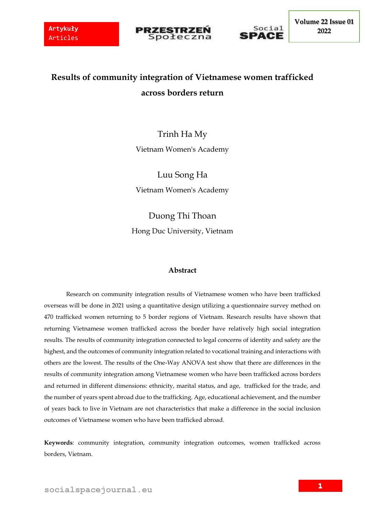



**Volume 22 Issue 01 2022**

# **Results of community integration of Vietnamese women trafficked across borders return**

## Trinh Ha My Vietnam Women's Academy

Luu Song Ha Vietnam Women's Academy

Duong Thi Thoan Hong Duc University, Vietnam

## **Abstract**

Research on community integration results of Vietnamese women who have been trafficked overseas will be done in 2021 using a quantitative design utilizing a questionnaire survey method on 470 trafficked women returning to 5 border regions of Vietnam. Research results have shown that returning Vietnamese women trafficked across the border have relatively high social integration results. The results of community integration connected to legal concerns of identity and safety are the highest, and the outcomes of community integration related to vocational training and interactions with others are the lowest. The results of the One-Way ANOVA test show that there are differences in the results of community integration among Vietnamese women who have been trafficked across borders and returned in different dimensions: ethnicity, marital status, and age, trafficked for the trade, and the number of years spent abroad due to the trafficking. Age, educational achievement, and the number of years back to live in Vietnam are not characteristics that make a difference in the social inclusion outcomes of Vietnamese women who have been trafficked abroad.

**Keywords**: community integration, community integration outcomes, women trafficked across borders, Vietnam.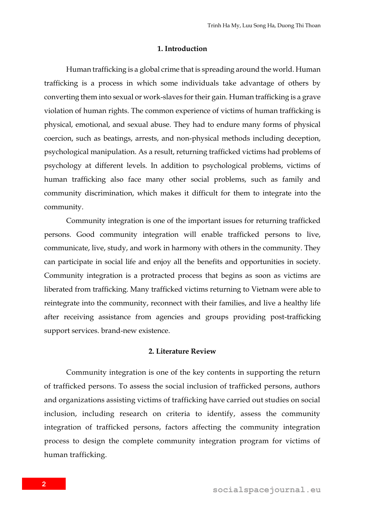#### **1. Introduction**

Human trafficking is a global crime that is spreading around the world. Human trafficking is a process in which some individuals take advantage of others by converting them into sexual or work-slaves for their gain. Human trafficking is a grave violation of human rights. The common experience of victims of human trafficking is physical, emotional, and sexual abuse. They had to endure many forms of physical coercion, such as beatings, arrests, and non-physical methods including deception, psychological manipulation. As a result, returning trafficked victims had problems of psychology at different levels. In addition to psychological problems, victims of human trafficking also face many other social problems, such as family and community discrimination, which makes it difficult for them to integrate into the community.

Community integration is one of the important issues for returning trafficked persons. Good community integration will enable trafficked persons to live, communicate, live, study, and work in harmony with others in the community. They can participate in social life and enjoy all the benefits and opportunities in society. Community integration is a protracted process that begins as soon as victims are liberated from trafficking. Many trafficked victims returning to Vietnam were able to reintegrate into the community, reconnect with their families, and live a healthy life after receiving assistance from agencies and groups providing post-trafficking support services. brand-new existence.

#### **2. Literature Review**

Community integration is one of the key contents in supporting the return of trafficked persons. To assess the social inclusion of trafficked persons, authors and organizations assisting victims of trafficking have carried out studies on social inclusion, including research on criteria to identify, assess the community integration of trafficked persons, factors affecting the community integration process to design the complete community integration program for victims of human trafficking.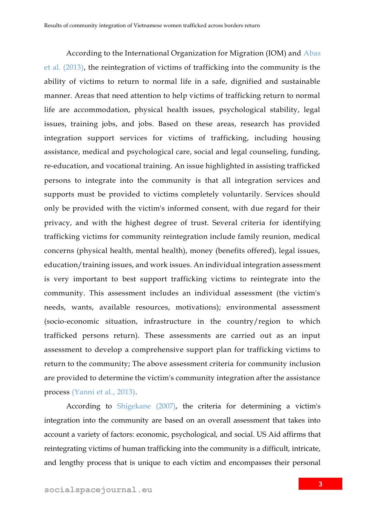According to the International Organization for Migration (IOM) and Abas et al. (2013), the reintegration of victims of trafficking into the community is the ability of victims to return to normal life in a safe, dignified and sustainable manner. Areas that need attention to help victims of trafficking return to normal life are accommodation, physical health issues, psychological stability, legal issues, training jobs, and jobs. Based on these areas, research has provided integration support services for victims of trafficking, including housing assistance, medical and psychological care, social and legal counseling, funding, re-education, and vocational training. An issue highlighted in assisting trafficked persons to integrate into the community is that all integration services and supports must be provided to victims completely voluntarily. Services should only be provided with the victim's informed consent, with due regard for their privacy, and with the highest degree of trust. Several criteria for identifying trafficking victims for community reintegration include family reunion, medical concerns (physical health, mental health), money (benefits offered), legal issues, education/training issues, and work issues. An individual integration assessment is very important to best support trafficking victims to reintegrate into the community. This assessment includes an individual assessment (the victim's needs, wants, available resources, motivations); environmental assessment (socio-economic situation, infrastructure in the country/region to which trafficked persons return). These assessments are carried out as an input assessment to develop a comprehensive support plan for trafficking victims to return to the community; The above assessment criteria for community inclusion are provided to determine the victim's community integration after the assistance process (Yanni et al., 2013).

According to Shigekane (2007), the criteria for determining a victim's integration into the community are based on an overall assessment that takes into account a variety of factors: economic, psychological, and social. US Aid affirms that reintegrating victims of human trafficking into the community is a difficult, intricate, and lengthy process that is unique to each victim and encompasses their personal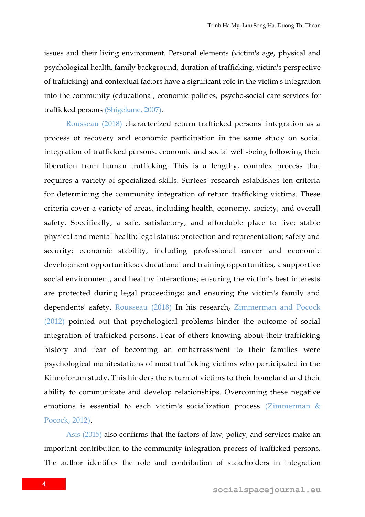issues and their living environment. Personal elements (victim's age, physical and psychological health, family background, duration of trafficking, victim's perspective of trafficking) and contextual factors have a significant role in the victim's integration into the community (educational, economic policies, psycho-social care services for trafficked persons (Shigekane, 2007).

Rousseau (2018) characterized return trafficked persons' integration as a process of recovery and economic participation in the same study on social integration of trafficked persons. economic and social well-being following their liberation from human trafficking. This is a lengthy, complex process that requires a variety of specialized skills. Surtees' research establishes ten criteria for determining the community integration of return trafficking victims. These criteria cover a variety of areas, including health, economy, society, and overall safety. Specifically, a safe, satisfactory, and affordable place to live; stable physical and mental health; legal status; protection and representation; safety and security; economic stability, including professional career and economic development opportunities; educational and training opportunities, a supportive social environment, and healthy interactions; ensuring the victim's best interests are protected during legal proceedings; and ensuring the victim's family and dependents' safety. Rousseau (2018) In his research, Zimmerman and Pocock (2012) pointed out that psychological problems hinder the outcome of social integration of trafficked persons. Fear of others knowing about their trafficking history and fear of becoming an embarrassment to their families were psychological manifestations of most trafficking victims who participated in the Kinnoforum study. This hinders the return of victims to their homeland and their ability to communicate and develop relationships. Overcoming these negative emotions is essential to each victim's socialization process (Zimmerman & Pocock, 2012).

Asis (2015) also confirms that the factors of law, policy, and services make an important contribution to the community integration process of trafficked persons. The author identifies the role and contribution of stakeholders in integration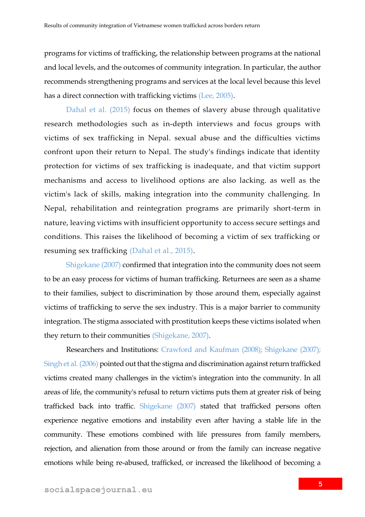programs for victims of trafficking, the relationship between programs at the national and local levels, and the outcomes of community integration. In particular, the author recommends strengthening programs and services at the local level because this level has a direct connection with trafficking victims (Lee, 2005).

Dahal et al. (2015) focus on themes of slavery abuse through qualitative research methodologies such as in-depth interviews and focus groups with victims of sex trafficking in Nepal. sexual abuse and the difficulties victims confront upon their return to Nepal. The study's findings indicate that identity protection for victims of sex trafficking is inadequate, and that victim support mechanisms and access to livelihood options are also lacking. as well as the victim's lack of skills, making integration into the community challenging. In Nepal, rehabilitation and reintegration programs are primarily short-term in nature, leaving victims with insufficient opportunity to access secure settings and conditions. This raises the likelihood of becoming a victim of sex trafficking or resuming sex trafficking (Dahal et al., 2015).

Shigekane (2007) confirmed that integration into the community does not seem to be an easy process for victims of human trafficking. Returnees are seen as a shame to their families, subject to discrimination by those around them, especially against victims of trafficking to serve the sex industry. This is a major barrier to community integration. The stigma associated with prostitution keeps these victims isolated when they return to their communities (Shigekane, 2007).

Researchers and Institutions: Crawford and Kaufman (2008); Shigekane (2007); Singh et al. (2006) pointed out that the stigma and discrimination against return trafficked victims created many challenges in the victim's integration into the community. In all areas of life, the community's refusal to return victims puts them at greater risk of being trafficked back into traffic. Shigekane (2007) stated that trafficked persons often experience negative emotions and instability even after having a stable life in the community. These emotions combined with life pressures from family members, rejection, and alienation from those around or from the family can increase negative emotions while being re-abused, trafficked, or increased the likelihood of becoming a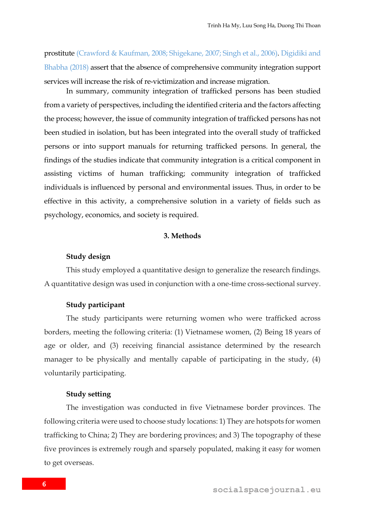prostitute (Crawford & Kaufman, 2008; Shigekane, 2007; Singh et al., 2006). Digidiki and Bhabha (2018) assert that the absence of comprehensive community integration support services will increase the risk of re-victimization and increase migration.

In summary, community integration of trafficked persons has been studied from a variety of perspectives, including the identified criteria and the factors affecting the process; however, the issue of community integration of trafficked persons has not been studied in isolation, but has been integrated into the overall study of trafficked persons or into support manuals for returning trafficked persons. In general, the findings of the studies indicate that community integration is a critical component in assisting victims of human trafficking; community integration of trafficked individuals is influenced by personal and environmental issues. Thus, in order to be effective in this activity, a comprehensive solution in a variety of fields such as psychology, economics, and society is required.

#### **3. Methods**

#### **Study design**

This study employed a quantitative design to generalize the research findings. A quantitative design was used in conjunction with a one-time cross-sectional survey.

#### **Study participant**

The study participants were returning women who were trafficked across borders, meeting the following criteria: (1) Vietnamese women, (2) Being 18 years of age or older, and (3) receiving financial assistance determined by the research manager to be physically and mentally capable of participating in the study, (4) voluntarily participating.

#### **Study setting**

The investigation was conducted in five Vietnamese border provinces. The following criteria were used to choose study locations: 1) They are hotspots for women trafficking to China; 2) They are bordering provinces; and 3) The topography of these five provinces is extremely rough and sparsely populated, making it easy for women to get overseas.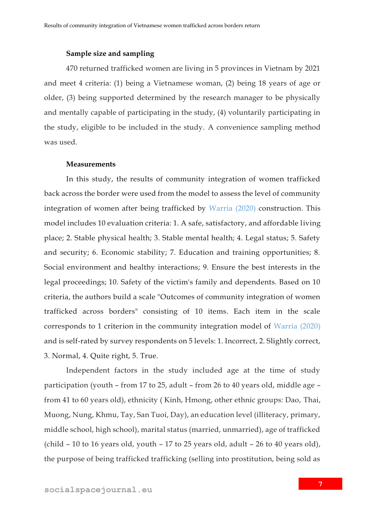#### **Sample size and sampling**

470 returned trafficked women are living in 5 provinces in Vietnam by 2021 and meet 4 criteria: (1) being a Vietnamese woman, (2) being 18 years of age or older, (3) being supported determined by the research manager to be physically and mentally capable of participating in the study, (4) voluntarily participating in the study, eligible to be included in the study. A convenience sampling method was used.

#### **Measurements**

In this study, the results of community integration of women trafficked back across the border were used from the model to assess the level of community integration of women after being trafficked by Warria (2020) construction. This model includes 10 evaluation criteria: 1. A safe, satisfactory, and affordable living place; 2. Stable physical health; 3. Stable mental health; 4. Legal status; 5. Safety and security; 6. Economic stability; 7. Education and training opportunities; 8. Social environment and healthy interactions; 9. Ensure the best interests in the legal proceedings; 10. Safety of the victim's family and dependents. Based on 10 criteria, the authors build a scale "Outcomes of community integration of women trafficked across borders" consisting of 10 items. Each item in the scale corresponds to 1 criterion in the community integration model of Warria (2020) and is self-rated by survey respondents on 5 levels: 1. Incorrect, 2. Slightly correct, 3. Normal, 4. Quite right, 5. True.

Independent factors in the study included age at the time of study participation (youth – from 17 to 25, adult – from 26 to 40 years old, middle age – from 41 to 60 years old), ethnicity ( Kinh, Hmong, other ethnic groups: Dao, Thai, Muong, Nung, Khmu, Tay, San Tuoi, Day), an education level (illiteracy, primary, middle school, high school), marital status (married, unmarried), age of trafficked (child – 10 to 16 years old, youth – 17 to 25 years old, adult – 26 to 40 years old), the purpose of being trafficked trafficking (selling into prostitution, being sold as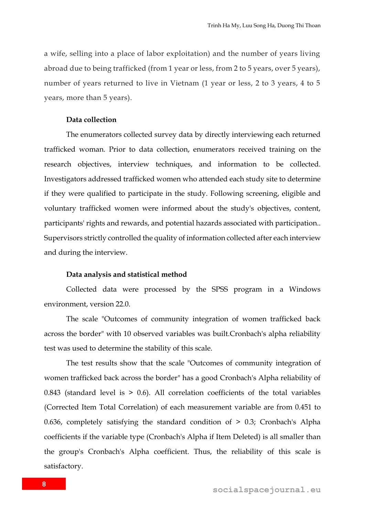a wife, selling into a place of labor exploitation) and the number of years living abroad due to being trafficked (from 1 year or less, from 2 to 5 years, over 5 years), number of years returned to live in Vietnam (1 year or less, 2 to 3 years, 4 to 5 years, more than 5 years).

## **Data collection**

The enumerators collected survey data by directly interviewing each returned trafficked woman. Prior to data collection, enumerators received training on the research objectives, interview techniques, and information to be collected. Investigators addressed trafficked women who attended each study site to determine if they were qualified to participate in the study. Following screening, eligible and voluntary trafficked women were informed about the study's objectives, content, participants' rights and rewards, and potential hazards associated with participation.. Supervisors strictly controlled the quality of information collected after each interview and during the interview.

#### **Data analysis and statistical method**

Collected data were processed by the SPSS program in a Windows environment, version 22.0.

The scale "Outcomes of community integration of women trafficked back across the border" with 10 observed variables was built.Cronbach's alpha reliability test was used to determine the stability of this scale.

The test results show that the scale "Outcomes of community integration of women trafficked back across the border" has a good Cronbach's Alpha reliability of 0.843 (standard level is  $> 0.6$ ). All correlation coefficients of the total variables (Corrected Item Total Correlation) of each measurement variable are from 0.451 to 0.636, completely satisfying the standard condition of > 0.3; Cronbach's Alpha coefficients if the variable type (Cronbach's Alpha if Item Deleted) is all smaller than the group's Cronbach's Alpha coefficient. Thus, the reliability of this scale is satisfactory.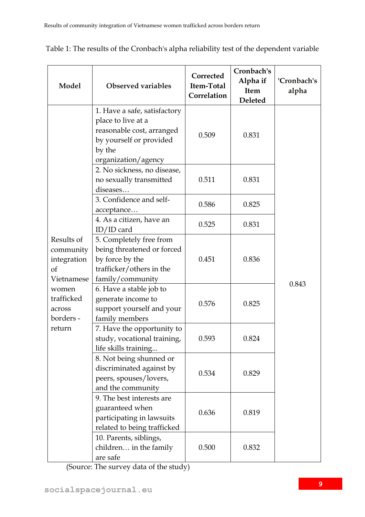| Model                                                                                                              | <b>Observed variables</b>                                                                                                                   | Corrected<br>Item-Total<br>Correlation | Cronbach's<br>Alpha if<br>Item<br>Deleted | 'Cronbach's<br>alpha |  |
|--------------------------------------------------------------------------------------------------------------------|---------------------------------------------------------------------------------------------------------------------------------------------|----------------------------------------|-------------------------------------------|----------------------|--|
| Results of<br>community<br>integration<br>of<br>Vietnamese<br>women<br>trafficked<br>across<br>borders -<br>return | 1. Have a safe, satisfactory<br>place to live at a<br>reasonable cost, arranged<br>by yourself or provided<br>by the<br>organization/agency | 0.509                                  | 0.831                                     |                      |  |
|                                                                                                                    | 2. No sickness, no disease,<br>no sexually transmitted<br>diseases                                                                          | 0.511                                  | 0.831                                     |                      |  |
|                                                                                                                    | 3. Confidence and self-<br>acceptance                                                                                                       | 0.586                                  | 0.825                                     |                      |  |
|                                                                                                                    | 4. As a citizen, have an<br>$ID/ID$ card                                                                                                    | 0.525                                  | 0.831                                     |                      |  |
|                                                                                                                    | 5. Completely free from<br>being threatened or forced<br>by force by the<br>trafficker/others in the<br>family/community                    | 0.451                                  | 0.836                                     |                      |  |
|                                                                                                                    | 6. Have a stable job to<br>generate income to<br>support yourself and your<br>family members                                                | 0.576                                  | 0.825                                     | 0.843                |  |
|                                                                                                                    | 7. Have the opportunity to<br>study, vocational training,<br>life skills training                                                           | 0.593                                  | 0.824                                     |                      |  |
|                                                                                                                    | 8. Not being shunned or<br>discriminated against by<br>peers, spouses/lovers,<br>and the community                                          | 0.534                                  | 0.829                                     |                      |  |
|                                                                                                                    | 9. The best interests are<br>guaranteed when<br>participating in lawsuits<br>related to being trafficked                                    | 0.636                                  | 0.819                                     |                      |  |
|                                                                                                                    | 10. Parents, siblings,<br>children in the family<br>are safe                                                                                | 0.500                                  | 0.832                                     |                      |  |

Table 1: The results of the Cronbach's alpha reliability test of the dependent variable

(Source: The survey data of the study)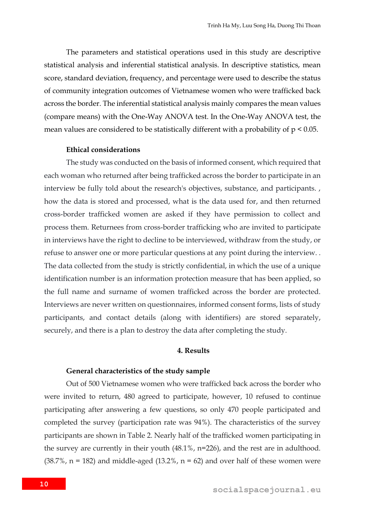The parameters and statistical operations used in this study are descriptive statistical analysis and inferential statistical analysis. In descriptive statistics, mean score, standard deviation, frequency, and percentage were used to describe the status of community integration outcomes of Vietnamese women who were trafficked back across the border. The inferential statistical analysis mainly compares the mean values (compare means) with the One-Way ANOVA test. In the One-Way ANOVA test, the mean values are considered to be statistically different with a probability of  $p < 0.05$ .

#### **Ethical considerations**

The study was conducted on the basis of informed consent, which required that each woman who returned after being trafficked across the border to participate in an interview be fully told about the research's objectives, substance, and participants. , how the data is stored and processed, what is the data used for, and then returned cross-border trafficked women are asked if they have permission to collect and process them. Returnees from cross-border trafficking who are invited to participate in interviews have the right to decline to be interviewed, withdraw from the study, or refuse to answer one or more particular questions at any point during the interview. . The data collected from the study is strictly confidential, in which the use of a unique identification number is an information protection measure that has been applied, so the full name and surname of women trafficked across the border are protected. Interviews are never written on questionnaires, informed consent forms, lists of study participants, and contact details (along with identifiers) are stored separately, securely, and there is a plan to destroy the data after completing the study.

#### **4. Results**

#### **General characteristics of the study sample**

Out of 500 Vietnamese women who were trafficked back across the border who were invited to return, 480 agreed to participate, however, 10 refused to continue participating after answering a few questions, so only 470 people participated and completed the survey (participation rate was 94%). The characteristics of the survey participants are shown in Table 2. Nearly half of the trafficked women participating in the survey are currently in their youth (48.1%, n=226), and the rest are in adulthood.  $(38.7\%$ , n = 182) and middle-aged  $(13.2\%$ , n = 62) and over half of these women were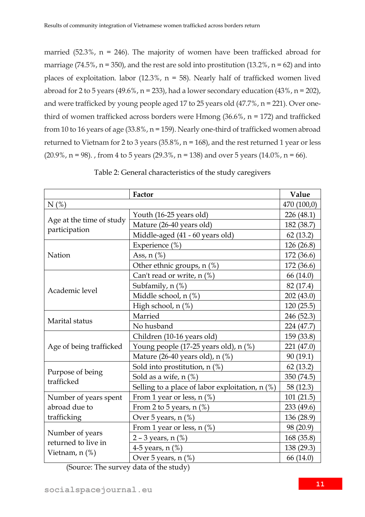married  $(52.3\%$ , n = 246). The majority of women have been trafficked abroad for marriage (74.5%,  $n = 350$ ), and the rest are sold into prostitution (13.2%,  $n = 62$ ) and into places of exploitation. labor  $(12.3\% , n = 58)$ . Nearly half of trafficked women lived abroad for 2 to 5 years (49.6%,  $n = 233$ ), had a lower secondary education (43%,  $n = 202$ ), and were trafficked by young people aged 17 to 25 years old (47.7%, n = 221). Over onethird of women trafficked across borders were Hmong (36.6%, n = 172) and trafficked from 10 to 16 years of age (33.8%, n = 159). Nearly one-third of trafficked women abroad returned to Vietnam for 2 to 3 years (35.8%, n = 168), and the rest returned 1 year or less  $(20.9\%, n = 98)$ ., from 4 to 5 years  $(29.3\%, n = 138)$  and over 5 years  $(14.0\%, n = 66)$ .

|                                        | Factor                                            | Value       |
|----------------------------------------|---------------------------------------------------|-------------|
| $N$ (%)                                |                                                   | 470 (100,0) |
|                                        | Youth (16-25 years old)                           | 226 (48.1)  |
| Age at the time of study               | Mature (26-40 years old)                          | 182 (38.7)  |
| participation                          | Middle-aged (41 - 60 years old)                   | 62(13.2)    |
|                                        | Experience (%)                                    | 126 (26.8)  |
| Nation                                 | Ass, $n$ $%$                                      | 172 (36.6)  |
|                                        | Other ethnic groups, n (%)                        | 172 (36.6)  |
|                                        | Can't read or write, n (%)                        | 66 (14.0)   |
| Academic level                         | Subfamily, n (%)                                  | 82 (17.4)   |
|                                        | Middle school, n (%)                              | 202(43.0)   |
|                                        | High school, n (%)                                | 120(25.5)   |
| Marital status                         | Married                                           | 246 (52.3)  |
|                                        | No husband                                        | 224 (47.7)  |
|                                        | Children (10-16 years old)                        | 159 (33.8)  |
| Age of being trafficked                | Young people (17-25 years old), n (%)             | 221 (47.0)  |
|                                        | Mature (26-40 years old), n (%)                   | 90(19.1)    |
|                                        | Sold into prostitution, $n$ (%)                   | 62(13.2)    |
| Purpose of being<br>trafficked         | Sold as a wife, $n$ $(\%)$                        | 350 (74.5)  |
|                                        | Selling to a place of labor exploitation, $n$ (%) | 58 (12.3)   |
| Number of years spent                  | From 1 year or less, $n$ (%)                      | 101(21.5)   |
| abroad due to                          | From 2 to 5 years, $n$ (%)                        | 233 (49.6)  |
| trafficking                            | Over 5 years, n (%)                               | 136 (28.9)  |
|                                        | From 1 year or less, $n$ (%)                      | 98 (20.9)   |
| Number of years<br>returned to live in | 2 – 3 years, $n$ (%)                              | 168 (35.8)  |
|                                        | 4-5 years, $n$ $(\%)$                             | 138 (29.3)  |
| Vietnam, n (%)                         | Over 5 years, n (%)                               | 66 (14.0)   |

Table 2: General characteristics of the study caregivers

(Source: The survey data of the study)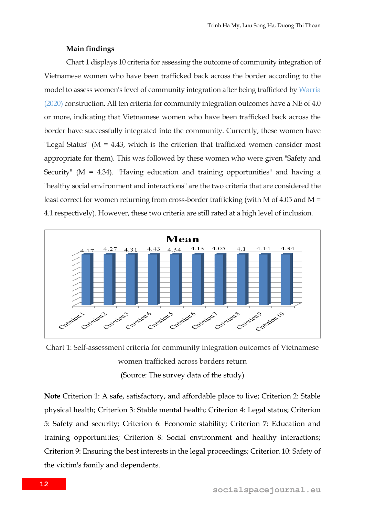#### **Main findings**

Chart 1 displays 10 criteria for assessing the outcome of community integration of Vietnamese women who have been trafficked back across the border according to the model to assess women's level of community integration after being trafficked by Warria (2020) construction. All ten criteria for community integration outcomes have a NE of 4.0 or more, indicating that Vietnamese women who have been trafficked back across the border have successfully integrated into the community. Currently, these women have "Legal Status" ( $M = 4.43$ , which is the criterion that trafficked women consider most appropriate for them). This was followed by these women who were given "Safety and Security" ( $M = 4.34$ ). "Having education and training opportunities" and having a "healthy social environment and interactions" are the two criteria that are considered the least correct for women returning from cross-border trafficking (with M of 4.05 and M = 4.1 respectively). However, these two criteria are still rated at a high level of inclusion.



Chart 1: Self-assessment criteria for community integration outcomes of Vietnamese women trafficked across borders return (Source: The survey data of the study)

**Note** Criterion 1: A safe, satisfactory, and affordable place to live; Criterion 2: Stable physical health; Criterion 3: Stable mental health; Criterion 4: Legal status; Criterion 5: Safety and security; Criterion 6: Economic stability; Criterion 7: Education and training opportunities; Criterion 8: Social environment and healthy interactions; Criterion 9: Ensuring the best interests in the legal proceedings; Criterion 10: Safety of the victim's family and dependents.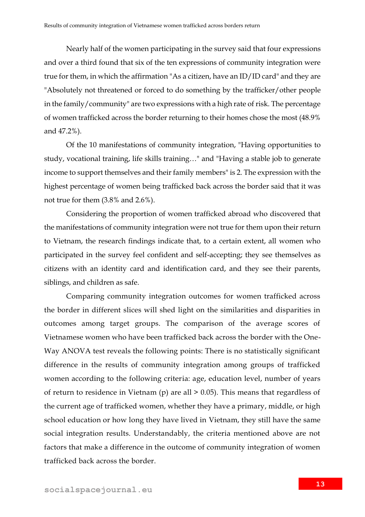Nearly half of the women participating in the survey said that four expressions and over a third found that six of the ten expressions of community integration were true for them, in which the affirmation "As a citizen, have an ID/ID card" and they are "Absolutely not threatened or forced to do something by the trafficker/other people in the family/community" are two expressions with a high rate of risk. The percentage of women trafficked across the border returning to their homes chose the most (48.9% and 47.2%).

Of the 10 manifestations of community integration, "Having opportunities to study, vocational training, life skills training…" and "Having a stable job to generate income to support themselves and their family members" is 2. The expression with the highest percentage of women being trafficked back across the border said that it was not true for them (3.8% and 2.6%).

Considering the proportion of women trafficked abroad who discovered that the manifestations of community integration were not true for them upon their return to Vietnam, the research findings indicate that, to a certain extent, all women who participated in the survey feel confident and self-accepting; they see themselves as citizens with an identity card and identification card, and they see their parents, siblings, and children as safe.

Comparing community integration outcomes for women trafficked across the border in different slices will shed light on the similarities and disparities in outcomes among target groups. The comparison of the average scores of Vietnamese women who have been trafficked back across the border with the One-Way ANOVA test reveals the following points: There is no statistically significant difference in the results of community integration among groups of trafficked women according to the following criteria: age, education level, number of years of return to residence in Vietnam (p) are all > 0.05). This means that regardless of the current age of trafficked women, whether they have a primary, middle, or high school education or how long they have lived in Vietnam, they still have the same social integration results. Understandably, the criteria mentioned above are not factors that make a difference in the outcome of community integration of women trafficked back across the border.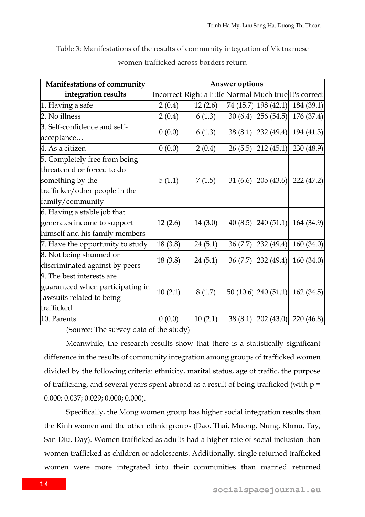Table 3: Manifestations of the results of community integration of Vietnamese

| Manifestations of community      | Answer options |                                                        |         |                      |                                 |  |
|----------------------------------|----------------|--------------------------------------------------------|---------|----------------------|---------------------------------|--|
| integration results              |                | Incorrect Right a little Normal Much true It's correct |         |                      |                                 |  |
| 1. Having a safe                 | 2(0.4)         | 12(2.6)                                                |         | 74 (15.7) 198 (42.1) | 184(39.1)                       |  |
| 2. No illness                    | 2(0.4)         | 6(1.3)                                                 |         | $30(6.4)$ 256 (54.5) | 176 (37.4)                      |  |
| 3. Self-confidence and self-     | 0(0.0)         |                                                        |         |                      | 38 (8.1) 232 (49.4) 194 (41.3)  |  |
| acceptance                       |                | 6(1.3)                                                 |         |                      |                                 |  |
| 4. As a citizen                  | 0(0.0)         | 2(0.4)                                                 |         | $26(5.5)$ 212 (45.1) | 230(48.9)                       |  |
| 5. Completely free from being    |                |                                                        |         |                      |                                 |  |
| threatened or forced to do       |                |                                                        |         |                      |                                 |  |
| something by the                 | 5(1.1)         | 7(1.5)                                                 |         |                      | 31 (6.6) 205 (43.6) 222 (47.2)  |  |
| trafficker/other people in the   |                |                                                        |         |                      |                                 |  |
| family/community                 |                |                                                        |         |                      |                                 |  |
| 6. Having a stable job that      |                |                                                        |         |                      |                                 |  |
| generates income to support      | 12(2.6)        | 14(3.0)                                                |         |                      | 40 (8.5) 240 (51.1) 164 (34.9)  |  |
| himself and his family members   |                |                                                        |         |                      |                                 |  |
| 7. Have the opportunity to study | 18(3.8)        | 24(5.1)                                                | 36(7.7) | 232(49.4)            | 160(34.0)                       |  |
| 8. Not being shunned or          | 18(3.8)        |                                                        |         |                      | 36 (7.7) 232 (49.4) 160 (34.0)  |  |
| discriminated against by peers   |                | 24(5.1)                                                |         |                      |                                 |  |
| 9. The best interests are        |                |                                                        |         |                      |                                 |  |
| guaranteed when participating in | 10(2.1)        | 8(1.7)                                                 |         |                      | 50 (10.6) 240 (51.1) 162 (34.5) |  |
| lawsuits related to being        |                |                                                        |         |                      |                                 |  |
| trafficked                       |                |                                                        |         |                      |                                 |  |
| 10. Parents                      | 0(0.0)         | 10(2.1)                                                |         |                      | 38 (8.1) 202 (43.0) 220 (46.8)  |  |

women trafficked across borders return

(Source: The survey data of the study)

Meanwhile, the research results show that there is a statistically significant difference in the results of community integration among groups of trafficked women divided by the following criteria: ethnicity, marital status, age of traffic, the purpose of trafficking, and several years spent abroad as a result of being trafficked (with  $p =$ 0.000; 0.037; 0.029; 0.000; 0.000).

Specifically, the Mong women group has higher social integration results than the Kinh women and the other ethnic groups (Dao, Thai, Muong, Nung, Khmu, Tay, San Diu, Day). Women trafficked as adults had a higher rate of social inclusion than women trafficked as children or adolescents. Additionally, single returned trafficked women were more integrated into their communities than married returned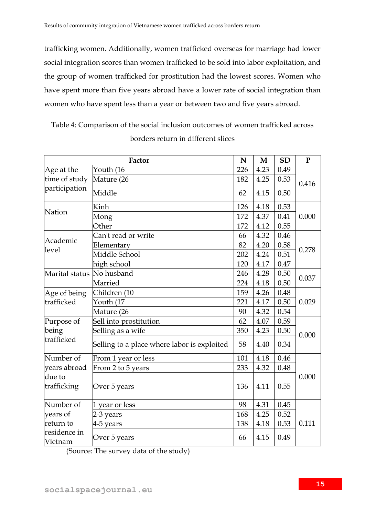trafficking women. Additionally, women trafficked overseas for marriage had lower social integration scores than women trafficked to be sold into labor exploitation, and the group of women trafficked for prostitution had the lowest scores. Women who have spent more than five years abroad have a lower rate of social integration than women who have spent less than a year or between two and five years abroad.

Table 4: Comparison of the social inclusion outcomes of women trafficked across borders return in different slices

|                                | Factor                                      | N   | $\mathbf M$ | <b>SD</b> | $\mathbf{P}$ |  |
|--------------------------------|---------------------------------------------|-----|-------------|-----------|--------------|--|
| Age at the                     | Youth (16                                   | 226 | 4.23        | 0.49      |              |  |
| time of study<br>participation | Mature (26                                  | 182 | 4.25        | 0.53      | 0.416        |  |
|                                | Middle                                      | 62  | 4.15        | 0.50      |              |  |
| Nation                         | Kinh                                        | 126 | 4.18        | 0.53      |              |  |
|                                | Mong                                        | 172 | 4.37        | 0.41      | 0.000        |  |
|                                | Other                                       | 172 | 4.12        | 0.55      |              |  |
|                                | Can't read or write                         | 66  | 4.32        | 0.46      |              |  |
| Academic                       | Elementary                                  | 82  | 4.20        | 0.58      |              |  |
| level                          | Middle School                               | 202 | 4.24        | 0.51      | 0.278        |  |
|                                | high school                                 | 120 | 4.17        | 0.47      |              |  |
| Marital status No husband      |                                             | 246 | 4.28        | 0.50      |              |  |
|                                | Married                                     | 224 | 4.18        | 0.50      | 0.037        |  |
| Age of being                   | Children (10                                | 159 | 4.26        | 0.48      | 0.029        |  |
| trafficked                     | Youth (17                                   | 221 | 4.17        | 0.50      |              |  |
|                                | Mature (26                                  | 90  | 4.32        | 0.54      |              |  |
| Purpose of                     | Sell into prostitution                      | 62  | 4.07        | 0.59      | 0.000        |  |
| being                          | Selling as a wife                           | 350 | 4.23        | 0.50      |              |  |
| trafficked                     | Selling to a place where labor is exploited | 58  | 4.40        | 0.34      |              |  |
| Number of                      | From 1 year or less                         | 101 | 4.18        | 0.46      | 0.000        |  |
| vears abroad                   | From 2 to 5 years                           | 233 | 4.32        | 0.48      |              |  |
| due to<br>trafficking          | Over 5 years                                | 136 | 4.11        | 0.55      |              |  |
| Number of                      | 1 year or less                              | 98  | 4.31        | 0.45      |              |  |
| years of                       | 2-3 years                                   | 168 | 4.25        | 0.52      |              |  |
| return to                      | 4-5 years                                   | 138 | 4.18        | 0.53      | 0.111        |  |
| residence in<br>Vietnam        | Over 5 years                                | 66  | 4.15        | 0.49      |              |  |

(Source: The survey data of the study)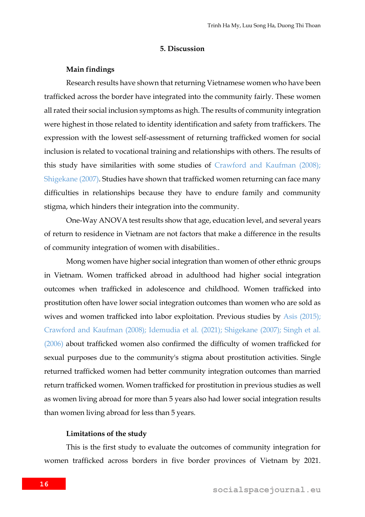#### **5. Discussion**

#### **Main findings**

Research results have shown that returning Vietnamese women who have been trafficked across the border have integrated into the community fairly. These women all rated their social inclusion symptoms as high. The results of community integration were highest in those related to identity identification and safety from traffickers. The expression with the lowest self-assessment of returning trafficked women for social inclusion is related to vocational training and relationships with others. The results of this study have similarities with some studies of Crawford and Kaufman (2008); Shigekane (2007). Studies have shown that trafficked women returning can face many difficulties in relationships because they have to endure family and community stigma, which hinders their integration into the community.

One-Way ANOVA test results show that age, education level, and several years of return to residence in Vietnam are not factors that make a difference in the results of community integration of women with disabilities..

Mong women have higher social integration than women of other ethnic groups in Vietnam. Women trafficked abroad in adulthood had higher social integration outcomes when trafficked in adolescence and childhood. Women trafficked into prostitution often have lower social integration outcomes than women who are sold as wives and women trafficked into labor exploitation. Previous studies by Asis (2015); Crawford and Kaufman (2008); Idemudia et al. (2021); Shigekane (2007); Singh et al. (2006) about trafficked women also confirmed the difficulty of women trafficked for sexual purposes due to the community's stigma about prostitution activities. Single returned trafficked women had better community integration outcomes than married return trafficked women. Women trafficked for prostitution in previous studies as well as women living abroad for more than 5 years also had lower social integration results than women living abroad for less than 5 years.

#### **Limitations of the study**

This is the first study to evaluate the outcomes of community integration for women trafficked across borders in five border provinces of Vietnam by 2021.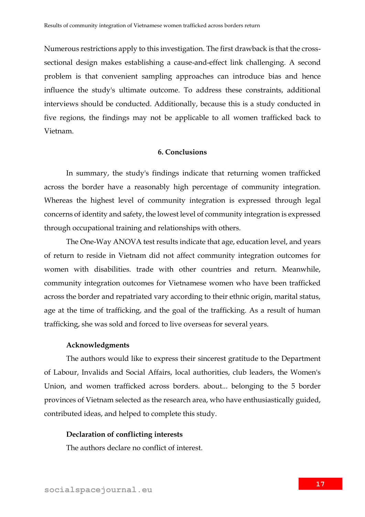Numerous restrictions apply to this investigation. The first drawback is that the crosssectional design makes establishing a cause-and-effect link challenging. A second problem is that convenient sampling approaches can introduce bias and hence influence the study's ultimate outcome. To address these constraints, additional interviews should be conducted. Additionally, because this is a study conducted in five regions, the findings may not be applicable to all women trafficked back to Vietnam.

## **6. Conclusions**

In summary, the study's findings indicate that returning women trafficked across the border have a reasonably high percentage of community integration. Whereas the highest level of community integration is expressed through legal concerns of identity and safety, the lowest level of community integration is expressed through occupational training and relationships with others.

The One-Way ANOVA test results indicate that age, education level, and years of return to reside in Vietnam did not affect community integration outcomes for women with disabilities. trade with other countries and return. Meanwhile, community integration outcomes for Vietnamese women who have been trafficked across the border and repatriated vary according to their ethnic origin, marital status, age at the time of trafficking, and the goal of the trafficking. As a result of human trafficking, she was sold and forced to live overseas for several years.

#### **Acknowledgments**

The authors would like to express their sincerest gratitude to the Department of Labour, Invalids and Social Affairs, local authorities, club leaders, the Women's Union, and women trafficked across borders. about... belonging to the 5 border provinces of Vietnam selected as the research area, who have enthusiastically guided, contributed ideas, and helped to complete this study.

## **Declaration of conflicting interests**

The authors declare no conflict of interest.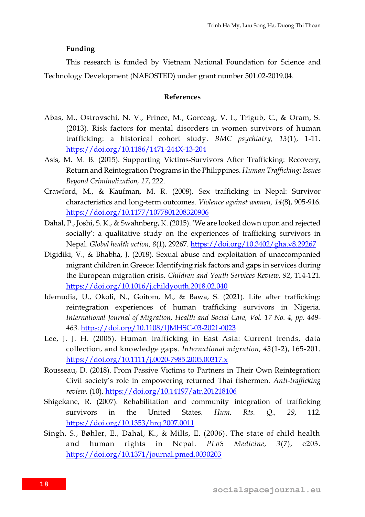#### **Funding**

This research is funded by Vietnam National Foundation for Science and Technology Development (NAFOSTED) under grant number 501.02-2019.04.

#### **References**

- Abas, M., Ostrovschi, N. V., Prince, M., Gorceag, V. I., Trigub, C., & Oram, S. (2013). Risk factors for mental disorders in women survivors of human trafficking: a historical cohort study. *BMC psychiatry, 13*(1), 1-11. <https://doi.org/10.1186/1471-244X-13-204>
- Asis, M. M. B. (2015). Supporting Victims-Survivors After Trafficking: Recovery, Return and Reintegration Programs in the Philippines. *Human Trafficking: Issues Beyond Criminalization, 17*, 222.
- Crawford, M., & Kaufman, M. R. (2008). Sex trafficking in Nepal: Survivor characteristics and long-term outcomes. *Violence against women, 14*(8), 905-916. <https://doi.org/10.1177/1077801208320906>
- Dahal, P., Joshi, S. K., & Swahnberg, K. (2015). 'We are looked down upon and rejected socially': a qualitative study on the experiences of trafficking survivors in Nepal. *Global health action, 8*(1), 29267.<https://doi.org/10.3402/gha.v8.29267>
- Digidiki, V., & Bhabha, J. (2018). Sexual abuse and exploitation of unaccompanied migrant children in Greece: Identifying risk factors and gaps in services during the European migration crisis. *Children and Youth Services Review, 92*, 114-121. <https://doi.org/10.1016/j.childyouth.2018.02.040>
- Idemudia, U., Okoli, N., Goitom, M., & Bawa, S. (2021). Life after trafficking: reintegration experiences of human trafficking survivors in Nigeria. *International Journal of Migration, Health and Social Care, Vol. 17 No. 4, pp. 449- 463.* <https://doi.org/10.1108/IJMHSC-03-2021-0023>
- Lee, J. J. H. (2005). Human trafficking in East Asia: Current trends, data collection, and knowledge gaps. *International migration, 43*(1‐2), 165-201. <https://doi.org/10.1111/j.0020-7985.2005.00317.x>
- Rousseau, D. (2018). From Passive Victims to Partners in Their Own Reintegration: Civil society's role in empowering returned Thai fishermen. *Anti-trafficking review,* (10).<https://doi.org/10.14197/atr.201218106>
- Shigekane, R. (2007). Rehabilitation and community integration of trafficking survivors in the United States. *Hum. Rts. Q., 29*, 112. <https://doi.org/10.1353/hrq.2007.0011>
- Singh, S., Bøhler, E., Dahal, K., & Mills, E. (2006). The state of child health and human rights in Nepal. *PLoS Medicine, 3*(7), e203. <https://doi.org/10.1371/journal.pmed.0030203>